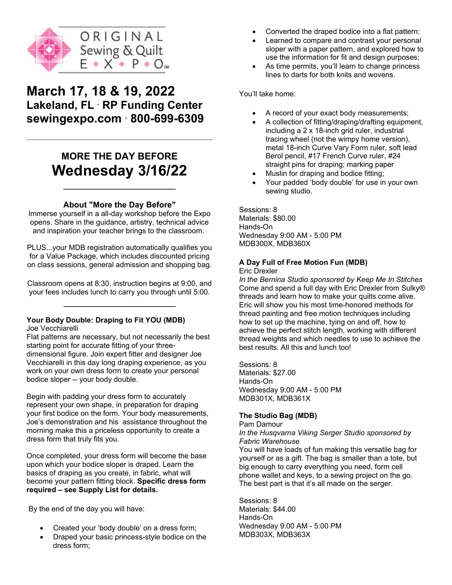

# **March 17, 18 & 19, 2022 Lakeland, FL . RP Funding Center sewingexpo.com . 800-699-6309**

# **MORE THE DAY BEFORE Wednesday 3/16/22**

## **About "More the Day Before"**

 $\overline{\phantom{a}}$  , which is a set of the set of the set of the set of the set of the set of the set of the set of the set of the set of the set of the set of the set of the set of the set of the set of the set of the set of th

Immerse yourself in a all-day workshop before the Expo opens. Share in the guidance, artistry, technical advice and inspiration your teacher brings to the classroom.

PLUS...your MDB registration automatically qualifies you for a Value Package, which includes discounted pricing on class sessions, general admission and shopping bag.

Classroom opens at 8:30, instruction begins at 9:00, and your fees includes lunch to carry you through until 5:00.  $\overline{\phantom{a}}$  , where  $\overline{\phantom{a}}$ 

# **Your Body Double: Draping to Fit YOU (MDB)**

Joe Vecchiarelli

Flat patterns are necessary, but not necessarily the best starting point for accurate fitting of your threedimensional figure. Join expert fitter and designer Joe Vecchiarelli in this day long draping experience, as you work on your own dress form to create your personal bodice sloper -- your body double.

Begin with padding your dress form to accurately represent your own shape, in preparation for draping your first bodice on the form. Your body measurements, Joe's demonstration and his assistance throughout the morning make this a priceless opportunity to create a dress form that truly fits you.

Once completed, your dress form will become the base upon which your bodice sloper is draped. Learn the basics of draping as you create, in fabric, what will become your pattern fitting block. **Specific dress form required – see Supply List for details.**

By the end of the day you will have:

- Created your 'body double' on a dress form;
- Draped your basic princess-style bodice on the dress form;
- Converted the draped bodice into a flat pattern:
- Learned to compare and contrast your personal sloper with a paper pattern, and explored how to use the information for fit and design purposes;
- As time permits, you'll learn to change princess lines to darts for both knits and wovens.

You'll take home:

- A record of your exact body measurements;
- A collection of fitting/draping/drafting equipment, including a 2 x 18-inch grid ruler, industrial tracing wheel (not the wimpy home version), metal 18-inch Curve Vary Form ruler, soft lead Berol pencil, #17 French Curve ruler, #24 straight pins for draping; marking paper
- Muslin for draping and bodice fitting;
- Your padded 'body double' for use in your own sewing studio.

Sessions: 8 Materials: \$80.00 Hands-On Wednesday 9:00 AM - 5:00 PM MDB300X, MDB360X

## **A Day Full of Free Motion Fun (MDB)**

Eric Drexler

*In the Bernina Studio sponsored by Keep Me In Stitches* Come and spend a full day with Eric Drexler from Sulky® threads and learn how to make your quilts come alive. Eric will show you his most time-honored methods for thread painting and free motion techniques including how to set up the machine, tying on and off, how to achieve the perfect stitch length, working with different thread weights and which needles to use to achieve the best results. All this and lunch too!

Sessions: 8 Materials: \$27.00 Hands-On Wednesday 9:00 AM - 5:00 PM MDB301X, MDB361X

## **The Studio Bag (MDB)**

Pam Damour

*In the Husqvarna Viking Serger Studio sponsored by Fabric Warehouse*

You will have loads of fun making this versatile bag for yourself or as a gift. The bag is smaller than a tote, but big enough to carry everything you need, form cell phone wallet and keys, to a sewing project on the go. The best part is that it's all made on the serger.

Sessions: 8 Materials: \$44.00 Hands-On Wednesday 9:00 AM - 5:00 PM MDB303X, MDB363X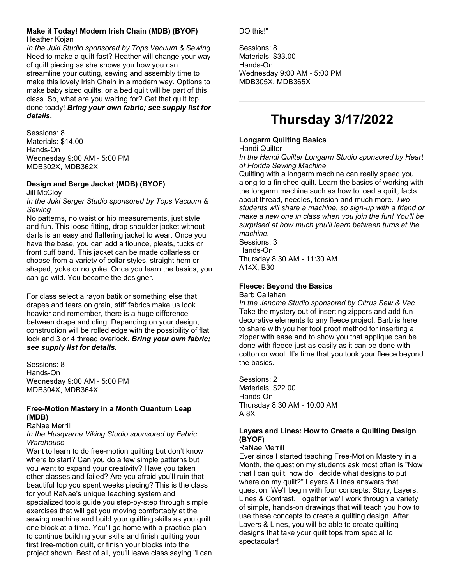#### **Make it Today! Modern Irish Chain (MDB) (BYOF)** Heather Kojan

*In the Juki Studio sponsored by Tops Vacuum & Sewing* Need to make a quilt fast? Heather will change your way of quilt piecing as she shows you how you can streamline your cutting, sewing and assembly time to make this lovely Irish Chain in a modern way. Options to make baby sized quilts, or a bed quilt will be part of this class. So, what are you waiting for? Get that quilt top done toady! *Bring your own fabric; see supply list for details.*

Sessions: 8 Materials: \$14.00 Hands-On Wednesday 9:00 AM - 5:00 PM MDB302X, MDB362X

## **Design and Serge Jacket (MDB) (BYOF)**

**Jill McClov** 

*In the Juki Serger Studio sponsored by Tops Vacuum & Sewing*

No patterns, no waist or hip measurements, just style and fun. This loose fitting, drop shoulder jacket without darts is an easy and flattering jacket to wear. Once you have the base, you can add a flounce, pleats, tucks or front cuff band. This jacket can be made collarless or choose from a variety of collar styles, straight hem or shaped, yoke or no yoke. Once you learn the basics, you can go wild. You become the designer.

For class select a rayon batik or something else that drapes and tears on grain, stiff fabrics make us look heavier and remember, there is a huge difference between drape and cling. Depending on your design, construction will be rolled edge with the possibility of flat lock and 3 or 4 thread overlock. *Bring your own fabric; see supply list for details.* 

Sessions: 8 Hands-On Wednesday 9:00 AM - 5:00 PM MDB304X, MDB364X

## **Free-Motion Mastery in a Month Quantum Leap (MDB)**

### RaNae Merrill

*In the Husqvarna Viking Studio sponsored by Fabric Warehouse*

Want to learn to do free-motion quilting but don't know where to start? Can you do a few simple patterns but you want to expand your creativity? Have you taken other classes and failed? Are you afraid you'll ruin that beautiful top you spent weeks piecing? This is the class for you! RaNae's unique teaching system and specialized tools guide you step-by-step through simple exercises that will get you moving comfortably at the sewing machine and build your quilting skills as you quilt one block at a time. You'll go home with a practice plan to continue building your skills and finish quilting your first free-motion quilt, or finish your blocks into the project shown. Best of all, you'll leave class saying "I can DO this!"

Sessions: 8 Materials: \$33.00 Hands-On Wednesday 9:00 AM - 5:00 PM MDB305X, MDB365X

# **Thursday 3/17/2022**

## **Longarm Quilting Basics**

Handi Quilter

*In the Handi Quilter Longarm Studio sponsored by Heart of Florida Sewing Machine*

Quilting with a longarm machine can really speed you along to a finished quilt. Learn the basics of working with the longarm machine such as how to load a quilt, facts about thread, needles, tension and much more. *Two students will share a machine, so sign-up with a friend or make a new one in class when you join the fun! You'll be surprised at how much you'll learn between turns at the machine.*

Sessions: 3 Hands-On Thursday 8:30 AM - 11:30 AM A14X, B30

## **Fleece: Beyond the Basics**

Barb Callahan

*In the Janome Studio sponsored by Citrus Sew & Vac* Take the mystery out of inserting zippers and add fun decorative elements to any fleece project. Barb is here to share with you her fool proof method for inserting a zipper with ease and to show you that applique can be done with fleece just as easily as it can be done with cotton or wool. It's time that you took your fleece beyond the basics.

Sessions: 2 Materials: \$22.00 Hands-On Thursday 8:30 AM - 10:00 AM A 8X

## **Layers and Lines: How to Create a Quilting Design (BYOF)**

#### RaNae Merrill

Ever since I started teaching Free-Motion Mastery in a Month, the question my students ask most often is "Now that I can quilt, how do I decide what designs to put where on my quilt?" Layers & Lines answers that question. We'll begin with four concepts: Story, Layers, Lines & Contrast. Together we'll work through a variety of simple, hands-on drawings that will teach you how to use these concepts to create a quilting design. After Layers & Lines, you will be able to create quilting designs that take your quilt tops from special to spectacular!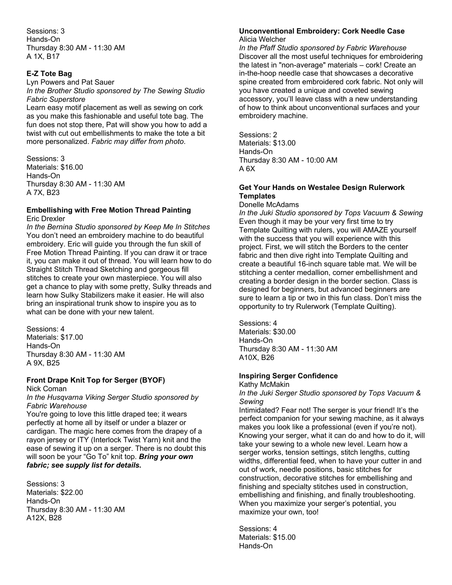Sessions: 3 Hands-On Thursday 8:30 AM - 11:30 AM A 1X, B17

#### **E-Z Tote Bag**

Lyn Powers and Pat Sauer

*In the Brother Studio sponsored by The Sewing Studio Fabric Superstore*

Learn easy motif placement as well as sewing on cork as you make this fashionable and useful tote bag. The fun does not stop there, Pat will show you how to add a twist with cut out embellishments to make the tote a bit more personalized. *Fabric may differ from photo*.

Sessions: 3 Materials: \$16.00 Hands-On Thursday 8:30 AM - 11:30 AM A 7X, B23

#### **Embellishing with Free Motion Thread Painting** Eric Drexler

*In the Bernina Studio sponsored by Keep Me In Stitches* You don't need an embroidery machine to do beautiful embroidery. Eric will guide you through the fun skill of Free Motion Thread Painting. If you can draw it or trace it, you can make it out of thread. You will learn how to do Straight Stitch Thread Sketching and gorgeous fill stitches to create your own masterpiece. You will also get a chance to play with some pretty, Sulky threads and learn how Sulky Stabilizers make it easier. He will also bring an inspirational trunk show to inspire you as to what can be done with your new talent.

Sessions: 4 Materials: \$17.00 Hands-On Thursday 8:30 AM - 11:30 AM A 9X, B25

### **Front Drape Knit Top for Serger (BYOF)**

Nick Coman

*In the Husqvarna Viking Serger Studio sponsored by Fabric Warehouse*

You're going to love this little draped tee; it wears perfectly at home all by itself or under a blazer or cardigan. The magic here comes from the drapey of a rayon jersey or ITY (Interlock Twist Yarn) knit and the ease of sewing it up on a serger. There is no doubt this will soon be your "Go To" knit top. *Bring your own fabric; see supply list for details.* 

Sessions: 3 Materials: \$22.00 Hands-On Thursday 8:30 AM - 11:30 AM A12X, B28

#### **Unconventional Embroidery: Cork Needle Case** Alicia Welcher

*In the Pfaff Studio sponsored by Fabric Warehouse* Discover all the most useful techniques for embroidering the latest in "non-average" materials – cork! Create an in-the-hoop needle case that showcases a decorative spine created from embroidered cork fabric. Not only will you have created a unique and coveted sewing accessory, you'll leave class with a new understanding of how to think about unconventional surfaces and your embroidery machine.

Sessions: 2 Materials: \$13.00 Hands-On Thursday 8:30 AM - 10:00 AM A 6X

#### **Get Your Hands on Westalee Design Rulerwork Templates**

Donelle McAdams

*In the Juki Studio sponsored by Tops Vacuum & Sewing* Even though it may be your very first time to try Template Quilting with rulers, you will AMAZE yourself with the success that you will experience with this project. First, we will stitch the Borders to the center fabric and then dive right into Template Quilting and create a beautiful 16-inch square table mat. We will be stitching a center medallion, corner embellishment and creating a border design in the border section. Class is designed for beginners, but advanced beginners are sure to learn a tip or two in this fun class. Don't miss the opportunity to try Rulerwork (Template Quilting).

Sessions: 4 Materials: \$30.00 Hands-On Thursday 8:30 AM - 11:30 AM A10X, B26

### **Inspiring Serger Confidence**

Kathy McMakin *In the Juki Serger Studio sponsored by Tops Vacuum & Sewing*

Intimidated? Fear not! The serger is your friend! It's the perfect companion for your sewing machine, as it always makes you look like a professional (even if you're not). Knowing your serger, what it can do and how to do it, will take your sewing to a whole new level. Learn how a serger works, tension settings, stitch lengths, cutting widths, differential feed, when to have your cutter in and out of work, needle positions, basic stitches for construction, decorative stitches for embellishing and finishing and specialty stitches used in construction, embellishing and finishing, and finally troubleshooting. When you maximize your serger's potential, you maximize your own, too!

Sessions: 4 Materials: \$15.00 Hands-On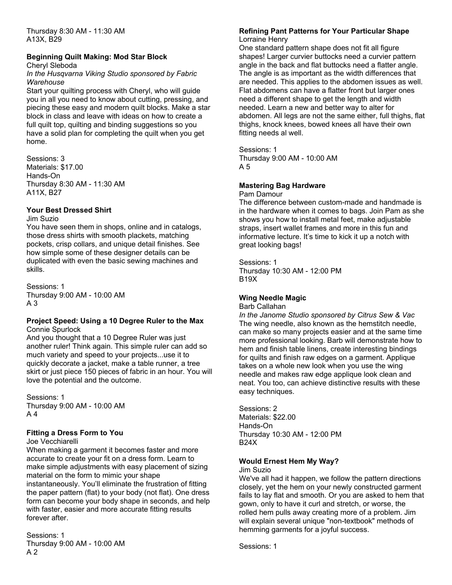Thursday 8:30 AM - 11:30 AM A13X, B29

## **Beginning Quilt Making: Mod Star Block**

Cheryl Sleboda

#### *In the Husqvarna Viking Studio sponsored by Fabric Warehouse*

Start your quilting process with Cheryl, who will guide you in all you need to know about cutting, pressing, and piecing these easy and modern quilt blocks. Make a star block in class and leave with ideas on how to create a full quilt top, quilting and binding suggestions so you have a solid plan for completing the quilt when you get home.

Sessions: 3 Materials: \$17.00 Hands-On Thursday 8:30 AM - 11:30 AM A11X, B27

## **Your Best Dressed Shirt**

Jim Suzio

You have seen them in shops, online and in catalogs, those dress shirts with smooth plackets, matching pockets, crisp collars, and unique detail finishes. See how simple some of these designer details can be duplicated with even the basic sewing machines and skills.

Sessions: 1 Thursday 9:00 AM - 10:00 AM A 3

#### **Project Speed: Using a 10 Degree Ruler to the Max** Connie Spurlock

And you thought that a 10 Degree Ruler was just another ruler! Think again. This simple ruler can add so much variety and speed to your projects...use it to quickly decorate a jacket, make a table runner, a tree skirt or just piece 150 pieces of fabric in an hour. You will love the potential and the outcome.

Sessions: 1 Thursday 9:00 AM - 10:00 AM A 4

### **Fitting a Dress Form to You**

Joe Vecchiarelli

When making a garment it becomes faster and more accurate to create your fit on a dress form. Learn to make simple adjustments with easy placement of sizing material on the form to mimic your shape instantaneously. You'll eliminate the frustration of fitting the paper pattern (flat) to your body (not flat). One dress form can become your body shape in seconds, and help with faster, easier and more accurate fitting results forever after.

Sessions: 1 Thursday 9:00 AM - 10:00 AM A 2

#### **Refining Pant Patterns for Your Particular Shape** Lorraine Henry

One standard pattern shape does not fit all figure shapes! Larger curvier buttocks need a curvier pattern angle in the back and flat buttocks need a flatter angle. The angle is as important as the width differences that are needed. This applies to the abdomen issues as well. Flat abdomens can have a flatter front but larger ones need a different shape to get the length and width needed. Learn a new and better way to alter for abdomen. All legs are not the same either, full thighs, flat thighs, knock knees, bowed knees all have their own fitting needs al well.

Sessions: 1 Thursday 9:00 AM - 10:00 AM A 5

## **Mastering Bag Hardware**

Pam Damour

The difference between custom-made and handmade is in the hardware when it comes to bags. Join Pam as she shows you how to install metal feet, make adjustable straps, insert wallet frames and more in this fun and informative lecture. It's time to kick it up a notch with great looking bags!

Sessions: 1 Thursday 10:30 AM - 12:00 PM B19X

## **Wing Needle Magic**

Barb Callahan

*In the Janome Studio sponsored by Citrus Sew & Vac* The wing needle, also known as the hemstitch needle, can make so many projects easier and at the same time more professional looking. Barb will demonstrate how to hem and finish table linens, create interesting bindings for quilts and finish raw edges on a garment. Applique takes on a whole new look when you use the wing needle and makes raw edge applique look clean and neat. You too, can achieve distinctive results with these easy techniques.

Sessions: 2 Materials: \$22.00 Hands-On Thursday 10:30 AM - 12:00 PM B24X

## **Would Ernest Hem My Way?**

Jim Suzio

We've all had it happen, we follow the pattern directions closely, yet the hem on your newly constructed garment fails to lay flat and smooth. Or you are asked to hem that gown, only to have it curl and stretch, or worse, the rolled hem pulls away creating more of a problem. Jim will explain several unique "non-textbook" methods of hemming garments for a joyful success.

Sessions: 1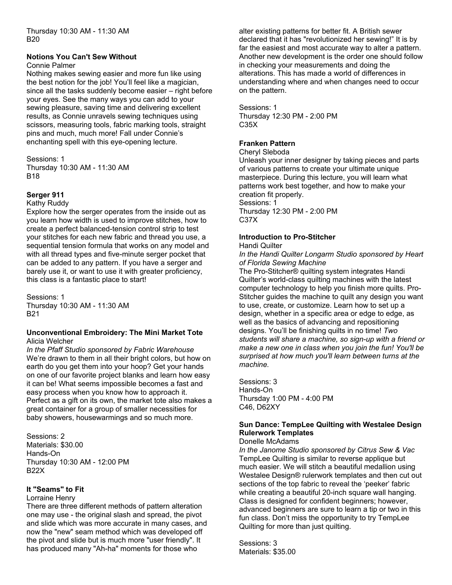Thursday 10:30 AM - 11:30 AM B20

#### **Notions You Can't Sew Without**

#### Connie Palmer

Nothing makes sewing easier and more fun like using the best notion for the job! You'll feel like a magician, since all the tasks suddenly become easier – right before your eyes. See the many ways you can add to your sewing pleasure, saving time and delivering excellent results, as Connie unravels sewing techniques using scissors, measuring tools, fabric marking tools, straight pins and much, much more! Fall under Connie's enchanting spell with this eye-opening lecture.

#### Sessions: 1 Thursday 10:30 AM - 11:30 AM B18

## **Serger 911**

#### Kathy Ruddy

Explore how the serger operates from the inside out as you learn how width is used to improve stitches, how to create a perfect balanced-tension control strip to test your stitches for each new fabric and thread you use, a sequential tension formula that works on any model and with all thread types and five-minute serger pocket that can be added to any pattern. If you have a serger and barely use it, or want to use it with greater proficiency, this class is a fantastic place to start!

Sessions: 1 Thursday 10:30 AM - 11:30 AM B21

#### **Unconventional Embroidery: The Mini Market Tote** Alicia Welcher

*In the Pfaff Studio sponsored by Fabric Warehouse* We're drawn to them in all their bright colors, but how on earth do you get them into your hoop? Get your hands on one of our favorite project blanks and learn how easy it can be! What seems impossible becomes a fast and easy process when you know how to approach it. Perfect as a gift on its own, the market tote also makes a great container for a group of smaller necessities for baby showers, housewarmings and so much more.

Sessions: 2 Materials: \$30.00 Hands-On Thursday 10:30 AM - 12:00 PM B22X

### **It "Seams" to Fit**

#### Lorraine Henry

There are three different methods of pattern alteration one may use - the original slash and spread, the pivot and slide which was more accurate in many cases, and now the "new" seam method which was developed off the pivot and slide but is much more "user friendly". It has produced many "Ah-ha" moments for those who

alter existing patterns for better fit. A British sewer declared that it has "revolutionized her sewing!" It is by far the easiest and most accurate way to alter a pattern. Another new development is the order one should follow in checking your measurements and doing the alterations. This has made a world of differences in understanding where and when changes need to occur on the pattern.

Sessions: 1 Thursday 12:30 PM - 2:00 PM C35X

### **Franken Pattern**

#### Cheryl Sleboda

Unleash your inner designer by taking pieces and parts of various patterns to create your ultimate unique masterpiece. During this lecture, you will learn what patterns work best together, and how to make your creation fit properly. Sessions: 1 Thursday 12:30 PM - 2:00 PM C37X

### **Introduction to Pro-Stitcher**

#### Handi Quilter

*In the Handi Quilter Longarm Studio sponsored by Heart of Florida Sewing Machine*

The Pro-Stitcher® quilting system integrates Handi Quilter's world-class quilting machines with the latest computer technology to help you finish more quilts. Pro-Stitcher guides the machine to quilt any design you want to use, create, or customize. Learn how to set up a design, whether in a specific area or edge to edge, as well as the basics of advancing and repositioning designs. You'll be finishing quilts in no time! *Two students will share a machine, so sign-up with a friend or make a new one in class when you join the fun! You'll be surprised at how much you'll learn between turns at the machine.* 

Sessions: 3 Hands-On Thursday 1:00 PM - 4:00 PM C46, D62XY

## **Sun Dance: TempLee Quilting with Westalee Design Rulerwork Templates**

#### Donelle McAdams

*In the Janome Studio sponsored by Citrus Sew & Vac* TempLee Quilting is similar to reverse applique but much easier. We will stitch a beautiful medallion using Westalee Design® rulerwork templates and then cut out sections of the top fabric to reveal the 'peeker' fabric while creating a beautiful 20-inch square wall hanging. Class is designed for confident beginners; however, advanced beginners are sure to learn a tip or two in this fun class. Don't miss the opportunity to try TempLee Quilting for more than just quilting.

Sessions: 3 Materials: \$35.00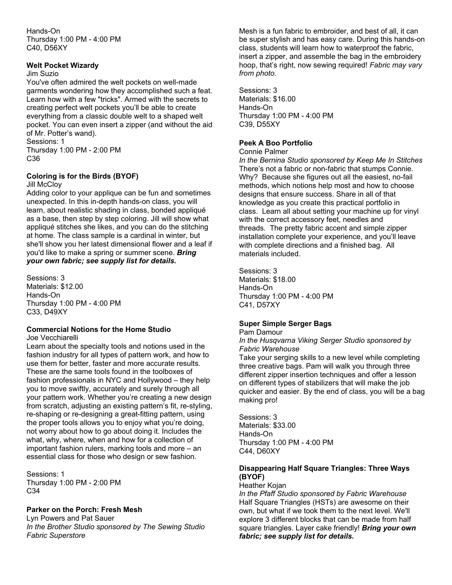Hands-On Thursday 1:00 PM - 4:00 PM C40, D56XY

#### **Welt Pocket Wizardy**

#### Jim Suzio

You've often admired the welt pockets on well-made garments wondering how they accomplished such a feat. Learn how with a few "tricks". Armed with the secrets to creating perfect welt pockets you'll be able to create everything from a classic double welt to a shaped welt pocket. You can even insert a zipper (and without the aid of Mr. Potter's wand).

Sessions: 1 Thursday 1:00 PM - 2:00 PM

C36

#### **Coloring is for the Birds (BYOF)**

#### Jill McCloy

Adding color to your applique can be fun and sometimes unexpected. In this in-depth hands-on class, you will learn, about realistic shading in class, bonded appliqué as a base, then step by step coloring. Jill will show what appliqué stitches she likes, and you can do the stitching at home. The class sample is a cardinal in winter, but she'll show you her latest dimensional flower and a leaf if you'd like to make a spring or summer scene. *Bring your own fabric; see supply list for details.*

Sessions: 3 Materials: \$12.00 Hands-On Thursday 1:00 PM - 4:00 PM C33, D49XY

#### **Commercial Notions for the Home Studio** Joe Vecchiarelli

Learn about the specialty tools and notions used in the fashion industry for all types of pattern work, and how to use them for better, faster and more accurate results. These are the same tools found in the toolboxes of fashion professionals in NYC and Hollywood – they help you to move swiftly, accurately and surely through all your pattern work. Whether you're creating a new design from scratch, adjusting an existing pattern's fit, re-styling, re-shaping or re-designing a great-fitting pattern, using the proper tools allows you to enjoy what you're doing, not worry about how to go about doing it. Includes the what, why, where, when and how for a collection of important fashion rulers, marking tools and more – an essential class for those who design or sew fashion.

Sessions: 1 Thursday 1:00 PM - 2:00 PM C34

### **Parker on the Porch: Fresh Mesh**

Lyn Powers and Pat Sauer *In the Brother Studio sponsored by The Sewing Studio Fabric Superstore*

Mesh is a fun fabric to embroider, and best of all, it can be super stylish and has easy care. During this hands-on class, students will learn how to waterproof the fabric, insert a zipper, and assemble the bag in the embroidery hoop, that's right, now sewing required! *Fabric may vary from photo.* 

Sessions: 3 Materials: \$16.00 Hands-On Thursday 1:00 PM - 4:00 PM C39, D55XY

#### **Peek A Boo Portfolio**

Connie Palmer

*In the Bernina Studio sponsored by Keep Me In Stitches* There's not a fabric or non-fabric that stumps Connie. Why? Because she figures out all the easiest, no-fail methods, which notions help most and how to choose designs that ensure success. Share in all of that knowledge as you create this practical portfolio in class. Learn all about setting your machine up for vinyl with the correct accessory feet, needles and threads. The pretty fabric accent and simple zipper installation complete your experience, and you'll leave with complete directions and a finished bag. All materials included.

Sessions: 3 Materials: \$18.00 Hands-On Thursday 1:00 PM - 4:00 PM C41, D57XY

### **Super Simple Serger Bags**

Pam Damour

*In the Husqvarna Viking Serger Studio sponsored by Fabric Warehouse*

Take your serging skills to a new level while completing three creative bags. Pam will walk you through three different zipper insertion techniques and offer a lesson on different types of stabilizers that will make the job quicker and easier. By the end of class, you will be a bag making pro!

Sessions: 3 Materials: \$33.00 Hands-On Thursday 1:00 PM - 4:00 PM C44, D60XY

## **Disappearing Half Square Triangles: Three Ways (BYOF)**

#### Heather Kojan

*In the Pfaff Studio sponsored by Fabric Warehouse* Half Square Triangles (HSTs) are awesome on their own, but what if we took them to the next level. We'll explore 3 different blocks that can be made from half square triangles. Layer cake friendly! *Bring your own fabric; see supply list for details.*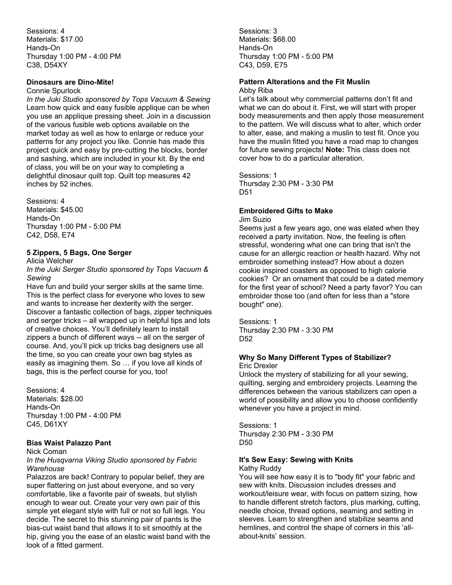Sessions: 4 Materials: \$17.00 Hands-On Thursday 1:00 PM - 4:00 PM C38, D54XY

#### **Dinosaurs are Dino-Mite!**

#### Connie Spurlock

*In the Juki Studio sponsored by Tops Vacuum & Sewing* Learn how quick and easy fusible applique can be when you use an applique pressing sheet. Join in a discussion of the various fusible web options available on the market today as well as how to enlarge or reduce your patterns for any project you like. Connie has made this project quick and easy by pre-cutting the blocks, border and sashing, which are included in your kit. By the end of class, you will be on your way to completing a delightful dinosaur quilt top. Quilt top measures 42 inches by 52 inches.

Sessions: 4 Materials: \$45.00 Hands-On Thursday 1:00 PM - 5:00 PM C42, D58, E74

### **5 Zippers, 5 Bags, One Serger**

Alicia Welcher

*In the Juki Serger Studio sponsored by Tops Vacuum & Sewing*

Have fun and build your serger skills at the same time. This is the perfect class for everyone who loves to sew and wants to increase her dexterity with the serger. Discover a fantastic collection of bags, zipper techniques and serger tricks – all wrapped up in helpful tips and lots of creative choices. You'll definitely learn to install zippers a bunch of different ways -- all on the serger of course. And, you'll pick up tricks bag designers use all the time, so you can create your own bag styles as easily as imagining them. So … if you love all kinds of bags, this is the perfect course for you, too!

Sessions: 4 Materials: \$28.00 Hands-On Thursday 1:00 PM - 4:00 PM C45, D61XY

#### **Bias Waist Palazzo Pant**

Nick Coman

#### *In the Husqvarna Viking Studio sponsored by Fabric Warehouse*

Palazzos are back! Contrary to popular belief, they are super flattering on just about everyone, and so very comfortable, like a favorite pair of sweats, but stylish enough to wear out. Create your very own pair of this simple yet elegant style with full or not so full legs. You decide. The secret to this stunning pair of pants is the bias-cut waist band that allows it to sit smoothly at the hip, giving you the ease of an elastic waist band with the look of a fitted garment.

Sessions: 3 Materials: \$68.00 Hands-On Thursday 1:00 PM - 5:00 PM C43, D59, E75

#### **Pattern Alterations and the Fit Muslin** Abby Riba

Let's talk about why commercial patterns don't fit and what we can do about it. First, we will start with proper body measurements and then apply those measurement to the pattern. We will discuss what to alter, which order to alter, ease, and making a muslin to test fit. Once you have the muslin fitted you have a road map to changes for future sewing projects! **Note:** This class does not cover how to do a particular alteration.

Sessions: 1 Thursday 2:30 PM - 3:30 PM D<sub>51</sub>

## **Embroidered Gifts to Make**

Jim Suzio

Seems just a few years ago, one was elated when they received a party invitation. Now, the feeling is often stressful, wondering what one can bring that isn't the cause for an allergic reaction or health hazard. Why not embroider something instead? How about a dozen cookie inspired coasters as opposed to high calorie cookies? Or an ornament that could be a dated memory for the first year of school? Need a party favor? You can embroider those too (and often for less than a "store bought" one).

Sessions: 1 Thursday 2:30 PM - 3:30 PM D52

#### **Why So Many Different Types of Stabilizer?** Eric Drexler

Unlock the mystery of stabilizing for all your sewing, quilting, serging and embroidery projects. Learning the differences between the various stabilizers can open a world of possibility and allow you to choose confidently whenever you have a project in mind.

Sessions: 1 Thursday 2:30 PM - 3:30 PM D50

## **It's Sew Easy: Sewing with Knits**

Kathy Ruddy

You will see how easy it is to "body fit" your fabric and sew with knits. Discussion includes dresses and workout/leisure wear, with focus on pattern sizing, how to handle different stretch factors, plus marking, cutting, needle choice, thread options, seaming and setting in sleeves. Learn to strengthen and stabilize seams and hemlines, and control the shape of corners in this 'allabout-knits' session.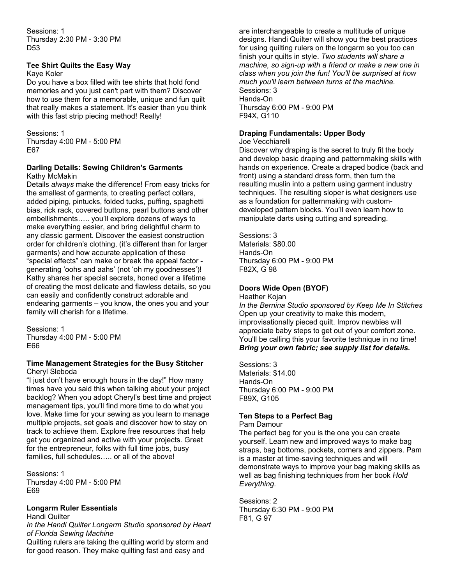Sessions: 1 Thursday 2:30 PM - 3:30 PM D53

#### **Tee Shirt Quilts the Easy Way**

Kaye Koler

Do you have a box filled with tee shirts that hold fond memories and you just can't part with them? Discover how to use them for a memorable, unique and fun quilt that really makes a statement. It's easier than you think with this fast strip piecing method! Really!

Sessions: 1 Thursday 4:00 PM - 5:00 PM E67

#### **Darling Details: Sewing Children's Garments** Kathy McMakin

Details *always* make the difference! From easy tricks for the smallest of garments, to creating perfect collars, added piping, pintucks, folded tucks, puffing, spaghetti bias, rick rack, covered buttons, pearl buttons and other embellishments….. you'll explore dozens of ways to make everything easier, and bring delightful charm to any classic garment. Discover the easiest construction order for children's clothing, (it's different than for larger garments) and how accurate application of these "special effects" can make or break the appeal factor generating 'oohs and aahs' (not 'oh my goodnesses')! Kathy shares her special secrets, honed over a lifetime of creating the most delicate and flawless details, so you can easily and confidently construct adorable and endearing garments – you know, the ones you and your family will cherish for a lifetime.

Sessions: 1 Thursday 4:00 PM - 5:00 PM E66

#### **Time Management Strategies for the Busy Stitcher** Cheryl Sleboda

"I just don't have enough hours in the day!" How many times have you said this when talking about your project backlog? When you adopt Cheryl's best time and project management tips, you'll find more time to do what you love. Make time for your sewing as you learn to manage multiple projects, set goals and discover how to stay on track to achieve them. Explore free resources that help get you organized and active with your projects. Great for the entrepreneur, folks with full time jobs, busy families, full schedules...., or all of the above!

Sessions: 1 Thursday 4:00 PM - 5:00 PM E69

### **Longarm Ruler Essentials**

Handi Quilter

*In the Handi Quilter Longarm Studio sponsored by Heart of Florida Sewing Machine*

Quilting rulers are taking the quilting world by storm and for good reason. They make quilting fast and easy and

are interchangeable to create a multitude of unique designs. Handi Quilter will show you the best practices for using quilting rulers on the longarm so you too can finish your quilts in style. *Two students will share a machine, so sign-up with a friend or make a new one in class when you join the fun! You'll be surprised at how much you'll learn between turns at the machine.* Sessions: 3 Hands-On Thursday 6:00 PM - 9:00 PM F94X, G110

## **Draping Fundamentals: Upper Body**

Joe Vecchiarelli

Discover why draping is the secret to truly fit the body and develop basic draping and patternmaking skills with hands on experience. Create a draped bodice (back and front) using a standard dress form, then turn the resulting muslin into a pattern using garment industry techniques. The resulting sloper is what designers use as a foundation for patternmaking with customdeveloped pattern blocks. You'll even learn how to manipulate darts using cutting and spreading.

Sessions: 3 Materials: \$80.00 Hands-On Thursday 6:00 PM - 9:00 PM F82X, G 98

## **Doors Wide Open (BYOF)**

Heather Kojan *In the Bernina Studio sponsored by Keep Me In Stitches* Open up your creativity to make this modern, improvisationally pieced quilt. Improv newbies will appreciate baby steps to get out of your comfort zone. You'll be calling this your favorite technique in no time! *Bring your own fabric; see supply list for details.* 

Sessions: 3 Materials: \$14.00 Hands-On Thursday 6:00 PM - 9:00 PM F89X, G105

## **Ten Steps to a Perfect Bag**

Pam Damour

The perfect bag for you is the one you can create yourself. Learn new and improved ways to make bag straps, bag bottoms, pockets, corners and zippers. Pam is a master at time-saving techniques and will demonstrate ways to improve your bag making skills as well as bag finishing techniques from her book *Hold Everything*.

Sessions: 2 Thursday 6:30 PM - 9:00 PM F81, G 97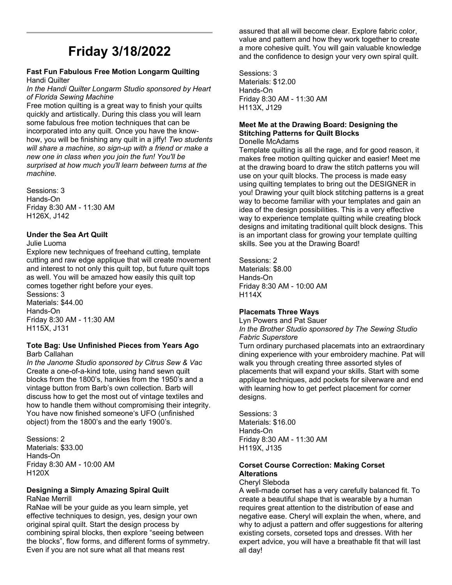# **Friday 3/18/2022**

#### **Fast Fun Fabulous Free Motion Longarm Quilting** Handi Quilter

*In the Handi Quilter Longarm Studio sponsored by Heart of Florida Sewing Machine*

Free motion quilting is a great way to finish your quilts quickly and artistically. During this class you will learn some fabulous free motion techniques that can be incorporated into any quilt. Once you have the knowhow, you will be finishing any quilt in a jiffy! *Two students will share a machine, so sign-up with a friend or make a new one in class when you join the fun! You'll be surprised at how much you'll learn between turns at the machine.* 

Sessions: 3 Hands-On Friday 8:30 AM - 11:30 AM H126X, J142

### **Under the Sea Art Quilt**

#### Julie Luoma

Explore new techniques of freehand cutting, template cutting and raw edge applique that will create movement and interest to not only this quilt top, but future quilt tops as well. You will be amazed how easily this quilt top comes together right before your eyes.

Sessions: 3 Materials: \$44.00 Hands-On Friday 8:30 AM - 11:30 AM H115X, J131

#### **Tote Bag: Use Unfinished Pieces from Years Ago** Barb Callahan

*In the Janome Studio sponsored by Citrus Sew & Vac* Create a one-of-a-kind tote, using hand sewn quilt blocks from the 1800's, hankies from the 1950's and a vintage button from Barb's own collection. Barb will discuss how to get the most out of vintage textiles and how to handle them without compromising their integrity. You have now finished someone's UFO (unfinished object) from the 1800's and the early 1900's.

Sessions: 2 Materials: \$33.00 Hands-On Friday 8:30 AM - 10:00 AM H120X

#### **Designing a Simply Amazing Spiral Quilt**  RaNae Merrill

RaNae will be your guide as you learn simple, yet effective techniques to design, yes, design your own original spiral quilt. Start the design process by combining spiral blocks, then explore "seeing between the blocks", flow forms, and different forms of symmetry. Even if you are not sure what all that means rest

assured that all will become clear. Explore fabric color, value and pattern and how they work together to create a more cohesive quilt. You will gain valuable knowledge and the confidence to design your very own spiral quilt.

Sessions: 3 Materials: \$12.00 Hands-On Friday 8:30 AM - 11:30 AM H113X, J129

#### **Meet Me at the Drawing Board: Designing the Stitching Patterns for Quilt Blocks** Donelle McAdams

Template quilting is all the rage, and for good reason, it makes free motion quilting quicker and easier! Meet me at the drawing board to draw the stitch patterns you will use on your quilt blocks. The process is made easy using quilting templates to bring out the DESIGNER in you! Drawing your quilt block stitching patterns is a great way to become familiar with your templates and gain an idea of the design possibilities. This is a very effective way to experience template quilting while creating block designs and imitating traditional quilt block designs. This is an important class for growing your template quilting skills. See you at the Drawing Board!

Sessions: 2 Materials: \$8.00 Hands-On Friday 8:30 AM - 10:00 AM H114X

### **Placemats Three Ways**

Lyn Powers and Pat Sauer *In the Brother Studio sponsored by The Sewing Studio Fabric Superstore*

Turn ordinary purchased placemats into an extraordinary dining experience with your embroidery machine. Pat will walk you through creating three assorted styles of placements that will expand your skills. Start with some applique techniques, add pockets for silverware and end with learning how to get perfect placement for corner designs.

Sessions: 3 Materials: \$16.00 Hands-On Friday 8:30 AM - 11:30 AM H119X, J135

## **Corset Course Correction: Making Corset Alterations**

#### Cheryl Sleboda

A well-made corset has a very carefully balanced fit. To create a beautiful shape that is wearable by a human requires great attention to the distribution of ease and negative ease. Cheryl will explain the when, where, and why to adjust a pattern and offer suggestions for altering existing corsets, corseted tops and dresses. With her expert advice, you will have a breathable fit that will last all day!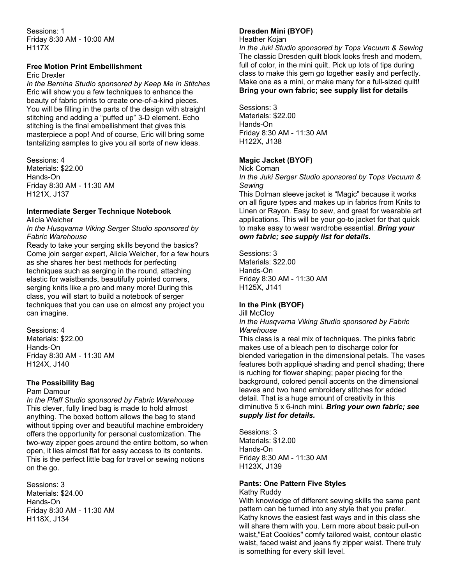Sessions: 1 Friday 8:30 AM - 10:00 AM H117X

#### **Free Motion Print Embellishment**

Eric Drexler

*In the Bernina Studio sponsored by Keep Me In Stitches* Eric will show you a few techniques to enhance the beauty of fabric prints to create one-of-a-kind pieces. You will be filling in the parts of the design with straight stitching and adding a "puffed up" 3-D element. Echo stitching is the final embellishment that gives this masterpiece a pop! And of course, Eric will bring some tantalizing samples to give you all sorts of new ideas.

Sessions: 4 Materials: \$22.00 Hands-On Friday 8:30 AM - 11:30 AM H121X, J137

## **Intermediate Serger Technique Notebook**

Alicia Welcher

*In the Husqvarna Viking Serger Studio sponsored by Fabric Warehouse*

Ready to take your serging skills beyond the basics? Come join serger expert, Alicia Welcher, for a few hours as she shares her best methods for perfecting techniques such as serging in the round, attaching elastic for waistbands, beautifully pointed corners, serging knits like a pro and many more! During this class, you will start to build a notebook of serger techniques that you can use on almost any project you can imagine.

Sessions: 4 Materials: \$22.00 Hands-On Friday 8:30 AM - 11:30 AM H124X, J140

## **The Possibility Bag**

Pam Damour

*In the Pfaff Studio sponsored by Fabric Warehouse* This clever, fully lined bag is made to hold almost anything. The boxed bottom allows the bag to stand without tipping over and beautiful machine embroidery offers the opportunity for personal customization. The two-way zipper goes around the entire bottom, so when open, it lies almost flat for easy access to its contents. This is the perfect little bag for travel or sewing notions on the go.

Sessions: 3 Materials: \$24.00 Hands-On Friday 8:30 AM - 11:30 AM H118X, J134

## **Dresden Mini (BYOF)**

Heather Kojan

*In the Juki Studio sponsored by Tops Vacuum & Sewing* The classic Dresden quilt block looks fresh and modern, full of color, in the mini quilt. Pick up lots of tips during class to make this gem go together easily and perfectly. Make one as a mini, or make many for a full-sized quilt! **Bring your own fabric; see supply list for details** 

Sessions: 3 Materials: \$22.00 Hands-On Friday 8:30 AM - 11:30 AM H122X, J138

## **Magic Jacket (BYOF)**

Nick Coman

*In the Juki Serger Studio sponsored by Tops Vacuum & Sewing*

This Dolman sleeve jacket is "Magic" because it works on all figure types and makes up in fabrics from Knits to Linen or Rayon. Easy to sew, and great for wearable art applications. This will be your go-to jacket for that quick to make easy to wear wardrobe essential. *Bring your own fabric; see supply list for details.* 

Sessions: 3 Materials: \$22.00 Hands-On Friday 8:30 AM - 11:30 AM H125X, J141

## **In the Pink (BYOF)**

Jill McCloy

*In the Husqvarna Viking Studio sponsored by Fabric Warehouse*

This class is a real mix of techniques. The pinks fabric makes use of a bleach pen to discharge color for blended variegation in the dimensional petals. The vases features both appliqué shading and pencil shading; there is ruching for flower shaping; paper piecing for the background, colored pencil accents on the dimensional leaves and two hand embroidery stitches for added detail. That is a huge amount of creativity in this diminutive 5 x 6-inch mini. *Bring your own fabric; see supply list for details.* 

Sessions: 3 Materials: \$12.00 Hands-On Friday 8:30 AM - 11:30 AM H123X, J139

## **Pants: One Pattern Five Styles**

Kathy Ruddy

With knowledge of different sewing skills the same pant pattern can be turned into any style that you prefer. Kathy knows the easiest fast ways and in this class she will share them with you. Lern more about basic pull-on waist,"Eat Cookies" comfy tailored waist, contour elastic waist, faced waist and jeans fly zipper waist. There truly is something for every skill level.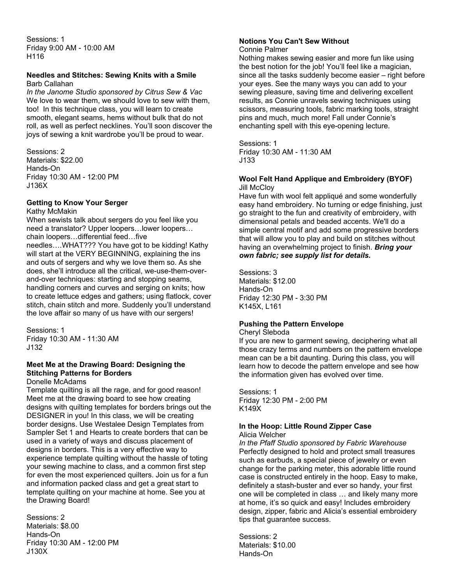Sessions: 1 Friday 9:00 AM - 10:00 AM H116

#### **Needles and Stitches: Sewing Knits with a Smile**  Barb Callahan

*In the Janome Studio sponsored by Citrus Sew & Vac* We love to wear them, we should love to sew with them, too! In this technique class, you will learn to create smooth, elegant seams, hems without bulk that do not roll, as well as perfect necklines. You'll soon discover the joys of sewing a knit wardrobe you'll be proud to wear.

Sessions: 2 Materials: \$22.00 Hands-On Friday 10:30 AM - 12:00 PM J136X

#### **Getting to Know Your Serger**

Kathy McMakin

When sewists talk about sergers do you feel like you need a translator? Upper loopers…lower loopers… chain loopers…differential feed…five

needles….WHAT??? You have got to be kidding! Kathy will start at the VERY BEGINNING, explaining the ins and outs of sergers and why we love them so. As she does, she'll introduce all the critical, we-use-them-overand-over techniques: starting and stopping seams, handling corners and curves and serging on knits; how to create lettuce edges and gathers; using flatlock, cover stitch, chain stitch and more. Suddenly you'll understand the love affair so many of us have with our sergers!

Sessions: 1 Friday 10:30 AM - 11:30 AM J132

### **Meet Me at the Drawing Board: Designing the Stitching Patterns for Borders**

Donelle McAdams

Template quilting is all the rage, and for good reason! Meet me at the drawing board to see how creating designs with quilting templates for borders brings out the DESIGNER in you! In this class, we will be creating border designs. Use Westalee Design Templates from Sampler Set 1 and Hearts to create borders that can be used in a variety of ways and discuss placement of designs in borders. This is a very effective way to experience template quilting without the hassle of toting your sewing machine to class, and a common first step for even the most experienced quilters. Join us for a fun and information packed class and get a great start to template quilting on your machine at home. See you at the Drawing Board!

Sessions: 2 Materials: \$8.00 Hands-On Friday 10:30 AM - 12:00 PM J130X

#### **Notions You Can't Sew Without** Connie Palmer

Nothing makes sewing easier and more fun like using the best notion for the job! You'll feel like a magician, since all the tasks suddenly become easier – right before your eyes. See the many ways you can add to your sewing pleasure, saving time and delivering excellent results, as Connie unravels sewing techniques using scissors, measuring tools, fabric marking tools, straight pins and much, much more! Fall under Connie's enchanting spell with this eye-opening lecture.

#### Sessions: 1

Friday 10:30 AM - 11:30 AM J133

#### **Wool Felt Hand Applique and Embroidery (BYOF) Jill McCloy**

Have fun with wool felt appliqué and some wonderfully easy hand embroidery. No turning or edge finishing, just go straight to the fun and creativity of embroidery, with dimensional petals and beaded accents. We'll do a simple central motif and add some progressive borders that will allow you to play and build on stitches without having an overwhelming project to finish. *Bring your own fabric; see supply list for details.* 

Sessions: 3 Materials: \$12.00 Hands-On Friday 12:30 PM - 3:30 PM K145X, L161

### **Pushing the Pattern Envelope**

Cheryl Sleboda

If you are new to garment sewing, deciphering what all those crazy terms and numbers on the pattern envelope mean can be a bit daunting. During this class, you will learn how to decode the pattern envelope and see how the information given has evolved over time.

Sessions: 1 Friday 12:30 PM - 2:00 PM K149X

#### **In the Hoop: Little Round Zipper Case**  Alicia Welcher

*In the Pfaff Studio sponsored by Fabric Warehouse* Perfectly designed to hold and protect small treasures such as earbuds, a special piece of jewelry or even change for the parking meter, this adorable little round case is constructed entirely in the hoop. Easy to make, definitely a stash-buster and ever so handy, your first one will be completed in class … and likely many more at home, it's so quick and easy! Includes embroidery design, zipper, fabric and Alicia's essential embroidery tips that guarantee success.

Sessions: 2 Materials: \$10.00 Hands-On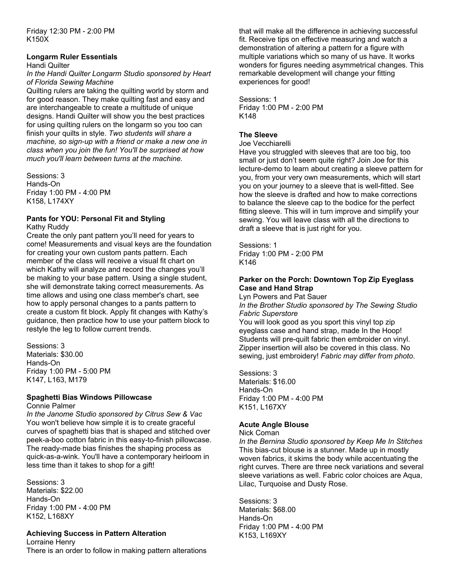Friday 12:30 PM - 2:00 PM K150X

#### **Longarm Ruler Essentials**

Handi Quilter

*In the Handi Quilter Longarm Studio sponsored by Heart of Florida Sewing Machine*

Quilting rulers are taking the quilting world by storm and for good reason. They make quilting fast and easy and are interchangeable to create a multitude of unique designs. Handi Quilter will show you the best practices for using quilting rulers on the longarm so you too can finish your quilts in style. *Two students will share a machine, so sign-up with a friend or make a new one in class when you join the fun! You'll be surprised at how much you'll learn between turns at the machine.* 

Sessions: 3 Hands-On Friday 1:00 PM - 4:00 PM K158, L174XY

#### **Pants for YOU: Personal Fit and Styling** Kathy Ruddy

Create the only pant pattern you'll need for years to come! Measurements and visual keys are the foundation for creating your own custom pants pattern. Each member of the class will receive a visual fit chart on which Kathy will analyze and record the changes you'll be making to your base pattern. Using a single student, she will demonstrate taking correct measurements. As time allows and using one class member's chart, see how to apply personal changes to a pants pattern to create a custom fit block. Apply fit changes with Kathy's guidance, then practice how to use your pattern block to restyle the leg to follow current trends.

Sessions: 3 Materials: \$30.00 Hands-On Friday 1:00 PM - 5:00 PM K147, L163, M179

## **Spaghetti Bias Windows Pillowcase**

Connie Palmer

*In the Janome Studio sponsored by Citrus Sew & Vac* You won't believe how simple it is to create graceful curves of spaghetti bias that is shaped and stitched over peek-a-boo cotton fabric in this easy-to-finish pillowcase. The ready-made bias finishes the shaping process as quick-as-a-wink. You'll have a contemporary heirloom in less time than it takes to shop for a gift!

Sessions: 3 Materials: \$22.00 Hands-On Friday 1:00 PM - 4:00 PM K152, L168XY

### **Achieving Success in Pattern Alteration**

Lorraine Henry There is an order to follow in making pattern alterations that will make all the difference in achieving successful fit. Receive tips on effective measuring and watch a demonstration of altering a pattern for a figure with multiple variations which so many of us have. It works wonders for figures needing asymmetrical changes. This remarkable development will change your fitting experiences for good!

Sessions: 1 Friday 1:00 PM - 2:00 PM K148

### **The Sleeve**

#### Joe Vecchiarelli

Have you struggled with sleeves that are too big, too small or just don't seem quite right? Join Joe for this lecture-demo to learn about creating a sleeve pattern for you, from your very own measurements, which will start you on your journey to a sleeve that is well-fitted. See how the sleeve is drafted and how to make corrections to balance the sleeve cap to the bodice for the perfect fitting sleeve. This will in turn improve and simplify your sewing. You will leave class with all the directions to draft a sleeve that is just right for you.

Sessions: 1 Friday 1:00 PM - 2:00 PM K146

#### **Parker on the Porch: Downtown Top Zip Eyeglass Case and Hand Strap**

Lyn Powers and Pat Sauer *In the Brother Studio sponsored by The Sewing Studio Fabric Superstore*

You will look good as you sport this vinyl top zip eyeglass case and hand strap, made In the Hoop! Students will pre-quilt fabric then embroider on vinyl. Zipper insertion will also be covered in this class. No sewing, just embroidery! *Fabric may differ from photo*.

Sessions: 3 Materials: \$16.00 Hands-On Friday 1:00 PM - 4:00 PM K151, L167XY

### **Acute Angle Blouse**

Nick Coman

*In the Bernina Studio sponsored by Keep Me In Stitches* This bias-cut blouse is a stunner. Made up in mostly woven fabrics, it skims the body while accentuating the right curves. There are three neck variations and several sleeve variations as well. Fabric color choices are Aqua, Lilac, Turquoise and Dusty Rose.

Sessions: 3 Materials: \$68.00 Hands-On Friday 1:00 PM - 4:00 PM K153, L169XY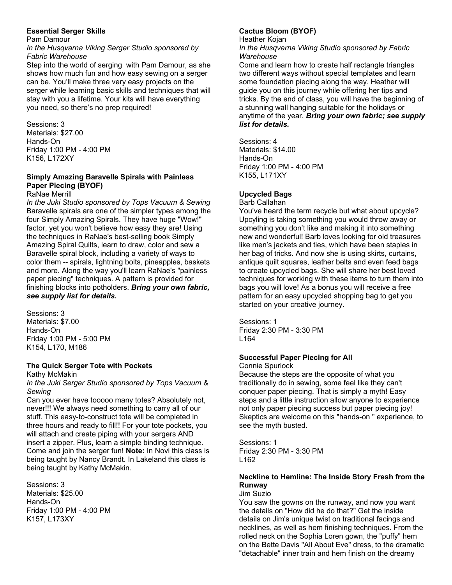### **Essential Serger Skills**

#### Pam Damour

*In the Husqvarna Viking Serger Studio sponsored by Fabric Warehouse*

Step into the world of serging with Pam Damour, as she shows how much fun and how easy sewing on a serger can be. You'll make three very easy projects on the serger while learning basic skills and techniques that will stay with you a lifetime. Your kits will have everything you need, so there's no prep required!

Sessions: 3 Materials: \$27.00 Hands-On Friday 1:00 PM - 4:00 PM K156, L172XY

## **Simply Amazing Baravelle Spirals with Painless Paper Piecing (BYOF)**

RaNae Merrill

*In the Juki Studio sponsored by Tops Vacuum & Sewing* Baravelle spirals are one of the simpler types among the four Simply Amazing Spirals. They have huge "Wow!" factor, yet you won't believe how easy they are! Using the techniques in RaNae's best-selling book Simply Amazing Spiral Quilts, learn to draw, color and sew a Baravelle spiral block, including a variety of ways to color them -- spirals, lightning bolts, pineapples, baskets and more. Along the way you'll learn RaNae's "painless paper piecing" techniques. A pattern is provided for finishing blocks into potholders. *Bring your own fabric, see supply list for details.* 

Sessions: 3 Materials: \$7.00 Hands-On Friday 1:00 PM - 5:00 PM K154, L170, M186

## **The Quick Serger Tote with Pockets**

Kathy McMakin *In the Juki Serger Studio sponsored by Tops Vacuum & Sewing*

Can you ever have tooooo many totes? Absolutely not, never!!! We always need something to carry all of our stuff. This easy-to-construct tote will be completed in three hours and ready to fill!! For your tote pockets, you will attach and create piping with your sergers AND insert a zipper. Plus, learn a simple binding technique. Come and join the serger fun! **Note:** In Novi this class is being taught by Nancy Brandt. In Lakeland this class is being taught by Kathy McMakin.

Sessions: 3 Materials: \$25.00 Hands-On Friday 1:00 PM - 4:00 PM K157, L173XY

## **Cactus Bloom (BYOF)**

Heather Kojan

*In the Husqvarna Viking Studio sponsored by Fabric Warehouse*

Come and learn how to create half rectangle triangles two different ways without special templates and learn some foundation piecing along the way. Heather will guide you on this journey while offering her tips and tricks. By the end of class, you will have the beginning of a stunning wall hanging suitable for the holidays or anytime of the year. *Bring your own fabric; see supply list for details.* 

Sessions: 4 Materials: \$14.00 Hands-On Friday 1:00 PM - 4:00 PM K155, L171XY

## **Upcycled Bags**

Barb Callahan

You've heard the term recycle but what about upcycle? Upcyling is taking something you would throw away or something you don't like and making it into something new and wonderful! Barb loves looking for old treasures like men's jackets and ties, which have been staples in her bag of tricks. And now she is using skirts, curtains, antique quilt squares, leather belts and even feed bags to create upcycled bags. She will share her best loved techniques for working with these items to turn them into bags you will love! As a bonus you will receive a free pattern for an easy upcycled shopping bag to get you started on your creative journey.

Sessions: 1 Friday 2:30 PM - 3:30 PM L164

## **Successful Paper Piecing for All**

Connie Spurlock

Because the steps are the opposite of what you traditionally do in sewing, some feel like they can't conquer paper piecing. That is simply a myth! Easy steps and a little instruction allow anyone to experience not only paper piecing success but paper piecing joy! Skeptics are welcome on this "hands-on " experience, to see the myth busted.

Sessions: 1 Friday 2:30 PM - 3:30 PM L162

## **Neckline to Hemline: The Inside Story Fresh from the Runway**

Jim Suzio

You saw the gowns on the runway, and now you want the details on "How did he do that?" Get the inside details on Jim's unique twist on traditional facings and necklines, as well as hem finishing techniques. From the rolled neck on the Sophia Loren gown, the "puffy" hem on the Bette Davis "All About Eve" dress, to the dramatic "detachable" inner train and hem finish on the dreamy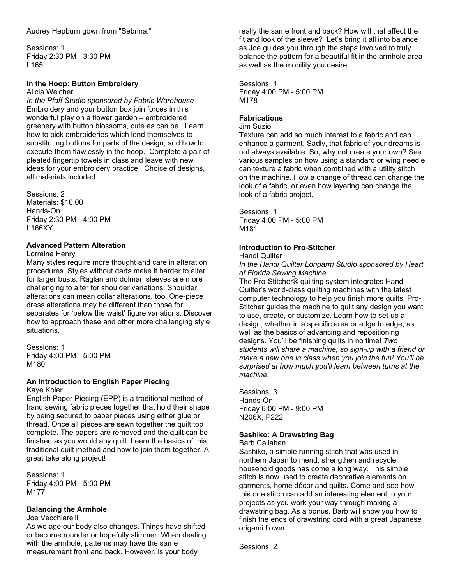Sessions: 1 Friday 2:30 PM - 3:30 PM L165

#### **In the Hoop: Button Embroidery**  Alicia Welcher

*In the Pfaff Studio sponsored by Fabric Warehouse* Embroidery and your button box join forces in this wonderful play on a flower garden – embroidered greenery with button blossoms, cute as can be. Learn how to pick embroideries which lend themselves to substituting buttons for parts of the design, and how to execute them flawlessly in the hoop. Complete a pair of pleated fingertip towels in class and leave with new ideas for your embroidery practice. Choice of designs, all materials included.

Sessions: 2 Materials: \$10.00 Hands-On Friday 2:30 PM - 4:00 PM L166XY

### **Advanced Pattern Alteration**

Lorraine Henry

Many styles require more thought and care in alteration procedures. Styles without darts make it harder to alter for larger busts. Raglan and dolman sleeves are more challenging to alter for shoulder variations. Shoulder alterations can mean collar alterations, too. One-piece dress alterations may be different than those for separates for 'below the waist' figure variations. Discover how to approach these and other more challenging style situations.

Sessions: 1 Friday 4:00 PM - 5:00 PM M180

### **An Introduction to English Paper Piecing**

Kaye Koler

English Paper Piecing (EPP) is a traditional method of hand sewing fabric pieces together that hold their shape by being secured to paper pieces using either glue or thread. Once all pieces are sewn together the quilt top complete. The papers are removed and the quilt can be finished as you would any quilt. Learn the basics of this traditional quilt method and how to join them together. A great take along project!

Sessions: 1 Friday 4:00 PM - 5:00 PM M177

### **Balancing the Armhole**

#### Joe Vecchiarelli

As we age our body also changes. Things have shifted or become rounder or hopefully slimmer. When dealing with the armhole, patterns may have the same measurement front and back. However, is your body

really the same front and back? How will that affect the fit and look of the sleeve? Let's bring it all into balance as Joe guides you through the steps involved to truly balance the pattern for a beautiful fit in the armhole area as well as the mobility you desire.

Sessions: 1 Friday 4:00 PM - 5:00 PM M178

### **Fabrications**

Jim Suzio

Texture can add so much interest to a fabric and can enhance a garment. Sadly, that fabric of your dreams is not always available. So, why not create your own? See various samples on how using a standard or wing needle can texture a fabric when combined with a utility stitch on the machine. How a change of thread can change the look of a fabric, or even how layering can change the look of a fabric project.

Sessions: 1 Friday 4:00 PM - 5:00 PM M181

### **Introduction to Pro-Stitcher**

Handi Quilter

*In the Handi Quilter Longarm Studio sponsored by Heart of Florida Sewing Machine*

The Pro-Stitcher® quilting system integrates Handi Quilter's world-class quilting machines with the latest computer technology to help you finish more quilts. Pro-Stitcher guides the machine to quilt any design you want to use, create, or customize. Learn how to set up a design, whether in a specific area or edge to edge, as well as the basics of advancing and repositioning designs. You'll be finishing quilts in no time! *Two students will share a machine, so sign-up with a friend or make a new one in class when you join the fun! You'll be surprised at how much you'll learn between turns at the machine.* 

Sessions: 3 Hands-On Friday 6:00 PM - 9:00 PM N206X, P222

### **Sashiko: A Drawstring Bag**

Barb Callahan

Sashiko, a simple running stitch that was used in northern Japan to mend, strengthen and recycle household goods has come a long way. This simple stitch is now used to create decorative elements on garments, home décor and quilts. Come and see how this one stitch can add an interesting element to your projects as you work your way through making a drawstring bag. As a bonus, Barb will show you how to finish the ends of drawstring cord with a great Japanese origami flower.

Sessions: 2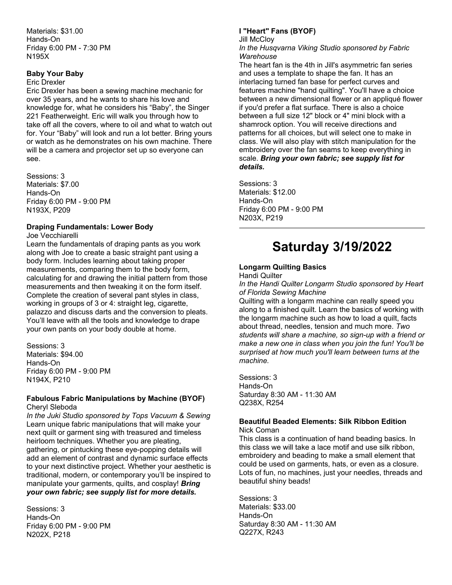Materials: \$31.00 Hands-On Friday 6:00 PM - 7:30 PM N195X

#### **Baby Your Baby**

#### Eric Drexler

Eric Drexler has been a sewing machine mechanic for over 35 years, and he wants to share his love and knowledge for, what he considers his "Baby", the Singer 221 Featherweight. Eric will walk you through how to take off all the covers, where to oil and what to watch out for. Your "Baby" will look and run a lot better. Bring yours or watch as he demonstrates on his own machine. There will be a camera and projector set up so everyone can see.

Sessions: 3 Materials: \$7.00 Hands-On Friday 6:00 PM - 9:00 PM N193X, P209

#### **Draping Fundamentals: Lower Body**

Joe Vecchiarelli

Learn the fundamentals of draping pants as you work along with Joe to create a basic straight pant using a body form. Includes learning about taking proper measurements, comparing them to the body form, calculating for and drawing the initial pattern from those measurements and then tweaking it on the form itself. Complete the creation of several pant styles in class, working in groups of 3 or 4: straight leg, cigarette, palazzo and discuss darts and the conversion to pleats. You'll leave with all the tools and knowledge to drape your own pants on your body double at home.

Sessions: 3 Materials: \$94.00 Hands-On Friday 6:00 PM - 9:00 PM N194X, P210

#### **Fabulous Fabric Manipulations by Machine (BYOF)** Cheryl Sleboda

*In the Juki Studio sponsored by Tops Vacuum & Sewing* Learn unique fabric manipulations that will make your next quilt or garment sing with treasured and timeless heirloom techniques. Whether you are pleating, gathering, or pintucking these eye-popping details will add an element of contrast and dynamic surface effects to your next distinctive project. Whether your aesthetic is traditional, modern, or contemporary you'll be inspired to manipulate your garments, quilts, and cosplay! *Bring your own fabric; see supply list for more details.* 

Sessions: 3 Hands-On Friday 6:00 PM - 9:00 PM N202X, P218

#### **I "Heart" Fans (BYOF)**

Jill McCloy

*In the Husqvarna Viking Studio sponsored by Fabric Warehouse*

The heart fan is the 4th in Jill's asymmetric fan series and uses a template to shape the fan. It has an interlacing turned fan base for perfect curves and features machine "hand quilting". You'll have a choice between a new dimensional flower or an appliqué flower if you'd prefer a flat surface. There is also a choice between a full size 12" block or 4" mini block with a shamrock option. You will receive directions and patterns for all choices, but will select one to make in class. We will also play with stitch manipulation for the embroidery over the fan seams to keep everything in scale. *Bring your own fabric; see supply list for details.* 

Sessions: 3 Materials: \$12.00 Hands-On Friday 6:00 PM - 9:00 PM N203X, P219

# **Saturday 3/19/2022**

#### **Longarm Quilting Basics** Handi Quilter

*In the Handi Quilter Longarm Studio sponsored by Heart of Florida Sewing Machine*

Quilting with a longarm machine can really speed you along to a finished quilt. Learn the basics of working with the longarm machine such as how to load a quilt, facts about thread, needles, tension and much more. *Two students will share a machine, so sign-up with a friend or make a new one in class when you join the fun! You'll be surprised at how much you'll learn between turns at the machine.* 

Sessions: 3 Hands-On Saturday 8:30 AM - 11:30 AM Q238X, R254

#### **Beautiful Beaded Elements: Silk Ribbon Edition** Nick Coman

This class is a continuation of hand beading basics. In this class we will take a lace motif and use silk ribbon, embroidery and beading to make a small element that could be used on garments, hats, or even as a closure. Lots of fun, no machines, just your needles, threads and beautiful shiny beads!

Sessions: 3 Materials: \$33.00 Hands-On Saturday 8:30 AM - 11:30 AM Q227X, R243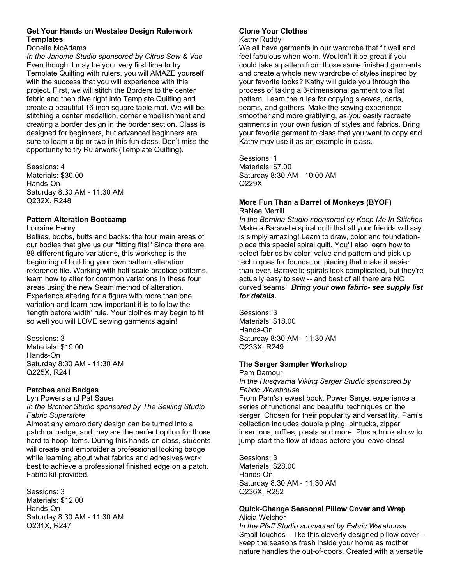### **Get Your Hands on Westalee Design Rulerwork Templates**

#### Donelle McAdams

*In the Janome Studio sponsored by Citrus Sew & Vac* Even though it may be your very first time to try Template Quilting with rulers, you will AMAZE yourself with the success that you will experience with this project. First, we will stitch the Borders to the center fabric and then dive right into Template Quilting and create a beautiful 16-inch square table mat. We will be stitching a center medallion, corner embellishment and creating a border design in the border section. Class is designed for beginners, but advanced beginners are sure to learn a tip or two in this fun class. Don't miss the opportunity to try Rulerwork (Template Quilting).

Sessions: 4 Materials: \$30.00 Hands-On Saturday 8:30 AM - 11:30 AM Q232X, R248

### **Pattern Alteration Bootcamp**

#### Lorraine Henry

Bellies, boobs, butts and backs: the four main areas of our bodies that give us our "fitting fits!" Since there are 88 different figure variations, this workshop is the beginning of building your own pattern alteration reference file. Working with half-scale practice patterns, learn how to alter for common variations in these four areas using the new Seam method of alteration. Experience altering for a figure with more than one variation and learn how important it is to follow the 'length before width' rule. Your clothes may begin to fit so well you will LOVE sewing garments again!

Sessions: 3 Materials: \$19.00 Hands-On Saturday 8:30 AM - 11:30 AM Q225X, R241

### **Patches and Badges**

Lyn Powers and Pat Sauer

*In the Brother Studio sponsored by The Sewing Studio Fabric Superstore*

Almost any embroidery design can be turned into a patch or badge, and they are the perfect option for those hard to hoop items. During this hands-on class, students will create and embroider a professional looking badge while learning about what fabrics and adhesives work best to achieve a professional finished edge on a patch. Fabric kit provided.

Sessions: 3 Materials: \$12.00 Hands-On Saturday 8:30 AM - 11:30 AM Q231X, R247

## **Clone Your Clothes**

Kathy Ruddy

We all have garments in our wardrobe that fit well and feel fabulous when worn. Wouldn't it be great if you could take a pattern from those same finished garments and create a whole new wardrobe of styles inspired by your favorite looks? Kathy will guide you through the process of taking a 3-dimensional garment to a flat pattern. Learn the rules for copying sleeves, darts, seams, and gathers. Make the sewing experience smoother and more gratifying, as you easily recreate garments in your own fusion of styles and fabrics. Bring your favorite garment to class that you want to copy and Kathy may use it as an example in class.

Sessions: 1 Materials: \$7.00 Saturday 8:30 AM - 10:00 AM Q229X

#### **More Fun Than a Barrel of Monkeys (BYOF)** RaNae Merrill

*In the Bernina Studio sponsored by Keep Me In Stitches* Make a Baravelle spiral quilt that all your friends will say is simply amazing! Learn to draw, color and foundationpiece this special spiral quilt. You'll also learn how to select fabrics by color, value and pattern and pick up techniques for foundation piecing that make it easier than ever. Baravelle spirals look complicated, but they're actually easy to sew -- and best of all there are NO curved seams! *Bring your own fabric- see supply list for details.*

Sessions: 3 Materials: \$18.00 Hands-On Saturday 8:30 AM - 11:30 AM Q233X, R249

### **The Serger Sampler Workshop**

Pam Damour *In the Husqvarna Viking Serger Studio sponsored by Fabric Warehouse* From Pam's newest book, Power Serge, experience a series of functional and beautiful techniques on the serger. Chosen for their popularity and versatility, Pam's collection includes double piping, pintucks, zipper insertions, ruffles, pleats and more. Plus a trunk show to jump-start the flow of ideas before you leave class!

Sessions: 3 Materials: \$28.00 Hands-On Saturday 8:30 AM - 11:30 AM Q236X, R252

#### **Quick-Change Seasonal Pillow Cover and Wrap** Alicia Welcher

*In the Pfaff Studio sponsored by Fabric Warehouse* Small touches -- like this cleverly designed pillow cover – keep the seasons fresh inside your home as mother nature handles the out-of-doors. Created with a versatile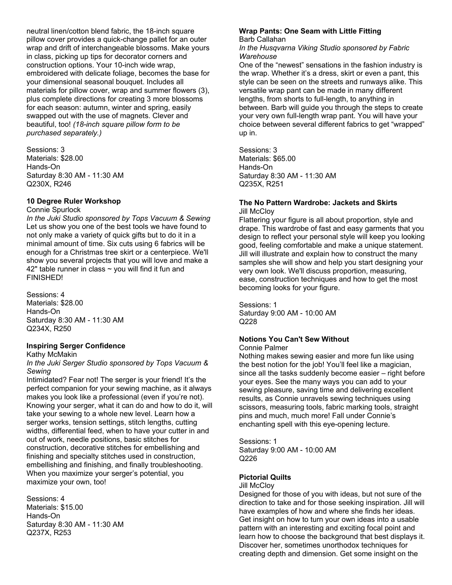neutral linen/cotton blend fabric, the 18-inch square pillow cover provides a quick-change pallet for an outer wrap and drift of interchangeable blossoms. Make yours in class, picking up tips for decorator corners and construction options. Your 10-inch wide wrap, embroidered with delicate foliage, becomes the base for your dimensional seasonal bouquet. Includes all materials for pillow cover, wrap and summer flowers (3), plus complete directions for creating 3 more blossoms for each season: autumn, winter and spring, easily swapped out with the use of magnets. Clever and beautiful, too! *(18-inch square pillow form to be purchased separately.)* 

Sessions: 3 Materials: \$28.00 Hands-On Saturday 8:30 AM - 11:30 AM Q230X, R246

#### **10 Degree Ruler Workshop**

Connie Spurlock

*In the Juki Studio sponsored by Tops Vacuum & Sewing* Let us show you one of the best tools we have found to not only make a variety of quick gifts but to do it in a minimal amount of time. Six cuts using 6 fabrics will be enough for a Christmas tree skirt or a centerpiece. We'll show you several projects that you will love and make a 42" table runner in class  $\sim$  you will find it fun and FINISHED!

Sessions: 4 Materials: \$28.00 Hands-On Saturday 8:30 AM - 11:30 AM Q234X, R250

### **Inspiring Serger Confidence**

Kathy McMakin

*In the Juki Serger Studio sponsored by Tops Vacuum & Sewing*

Intimidated? Fear not! The serger is your friend! It's the perfect companion for your sewing machine, as it always makes you look like a professional (even if you're not). Knowing your serger, what it can do and how to do it, will take your sewing to a whole new level. Learn how a serger works, tension settings, stitch lengths, cutting widths, differential feed, when to have your cutter in and out of work, needle positions, basic stitches for construction, decorative stitches for embellishing and finishing and specialty stitches used in construction, embellishing and finishing, and finally troubleshooting. When you maximize your serger's potential, you maximize your own, too!

Sessions: 4 Materials: \$15.00 Hands-On Saturday 8:30 AM - 11:30 AM Q237X, R253

#### **Wrap Pants: One Seam with Little Fitting** Barb Callahan

*In the Husqvarna Viking Studio sponsored by Fabric Warehouse*

One of the "newest" sensations in the fashion industry is the wrap. Whether it's a dress, skirt or even a pant, this style can be seen on the streets and runways alike. This versatile wrap pant can be made in many different lengths, from shorts to full-length, to anything in between. Barb will guide you through the steps to create your very own full-length wrap pant. You will have your choice between several different fabrics to get "wrapped" up in.

Sessions: 3 Materials: \$65.00 Hands-On Saturday 8:30 AM - 11:30 AM Q235X, R251

#### **The No Pattern Wardrobe: Jackets and Skirts Jill McClov**

Flattering your figure is all about proportion, style and drape. This wardrobe of fast and easy garments that you design to reflect your personal style will keep you looking good, feeling comfortable and make a unique statement. Jill will illustrate and explain how to construct the many samples she will show and help you start designing your very own look. We'll discuss proportion, measuring, ease, construction techniques and how to get the most becoming looks for your figure.

Sessions: 1 Saturday 9:00 AM - 10:00 AM Q228

## **Notions You Can't Sew Without**

Connie Palmer

Nothing makes sewing easier and more fun like using the best notion for the job! You'll feel like a magician, since all the tasks suddenly become easier – right before your eyes. See the many ways you can add to your sewing pleasure, saving time and delivering excellent results, as Connie unravels sewing techniques using scissors, measuring tools, fabric marking tools, straight pins and much, much more! Fall under Connie's enchanting spell with this eye-opening lecture.

Sessions: 1 Saturday 9:00 AM - 10:00 AM Q226

### **Pictorial Quilts**

#### Jill McCloy

Designed for those of you with ideas, but not sure of the direction to take and for those seeking inspiration. Jill will have examples of how and where she finds her ideas. Get insight on how to turn your own ideas into a usable pattern with an interesting and exciting focal point and learn how to choose the background that best displays it. Discover her, sometimes unorthodox techniques for creating depth and dimension. Get some insight on the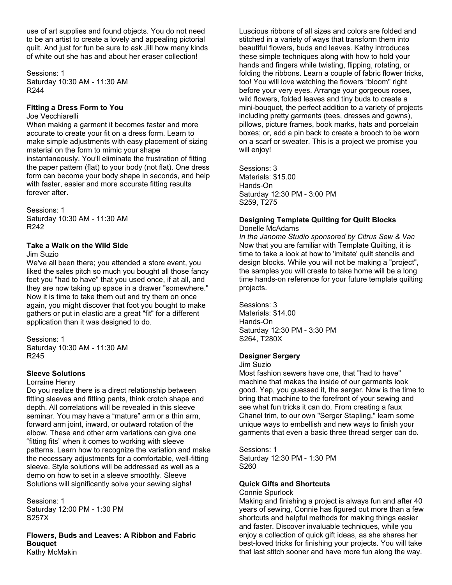use of art supplies and found objects. You do not need to be an artist to create a lovely and appealing pictorial quilt. And just for fun be sure to ask Jill how many kinds of white out she has and about her eraser collection!

Sessions: 1 Saturday 10:30 AM - 11:30 AM R244

#### **Fitting a Dress Form to You**

#### Joe Vecchiarelli

When making a garment it becomes faster and more accurate to create your fit on a dress form. Learn to make simple adjustments with easy placement of sizing material on the form to mimic your shape instantaneously. You'll eliminate the frustration of fitting the paper pattern (flat) to your body (not flat). One dress form can become your body shape in seconds, and help with faster, easier and more accurate fitting results forever after.

Sessions: 1 Saturday 10:30 AM - 11:30 AM R242

#### **Take a Walk on the Wild Side**

Jim Suzio

We've all been there; you attended a store event, you liked the sales pitch so much you bought all those fancy feet you "had to have" that you used once, if at all, and they are now taking up space in a drawer "somewhere." Now it is time to take them out and try them on once again, you might discover that foot you bought to make gathers or put in elastic are a great "fit" for a different application than it was designed to do.

Sessions: 1 Saturday 10:30 AM - 11:30 AM R245

## **Sleeve Solutions**

#### Lorraine Henry

Do you realize there is a direct relationship between fitting sleeves and fitting pants, think crotch shape and depth. All correlations will be revealed in this sleeve seminar. You may have a "mature" arm or a thin arm, forward arm joint, inward, or outward rotation of the elbow. These and other arm variations can give one "fitting fits" when it comes to working with sleeve patterns. Learn how to recognize the variation and make the necessary adjustments for a comfortable, well-fitting sleeve. Style solutions will be addressed as well as a demo on how to set in a sleeve smoothly. Sleeve Solutions will significantly solve your sewing sighs!

Sessions: 1 Saturday 12:00 PM - 1:30 PM S257X

**Flowers, Buds and Leaves: A Ribbon and Fabric Bouquet** Kathy McMakin

Luscious ribbons of all sizes and colors are folded and stitched in a variety of ways that transform them into beautiful flowers, buds and leaves. Kathy introduces these simple techniques along with how to hold your hands and fingers while twisting, flipping, rotating, or folding the ribbons. Learn a couple of fabric flower tricks, too! You will love watching the flowers "bloom" right before your very eyes. Arrange your gorgeous roses, wild flowers, folded leaves and tiny buds to create a mini-bouquet, the perfect addition to a variety of projects including pretty garments (tees, dresses and gowns), pillows, picture frames, book marks, hats and porcelain boxes; or, add a pin back to create a brooch to be worn on a scarf or sweater. This is a project we promise you will enjoy!

Sessions: 3 Materials: \$15.00 Hands-On Saturday 12:30 PM - 3:00 PM S259, T275

#### **Designing Template Quilting for Quilt Blocks** Donelle McAdams

*In the Janome Studio sponsored by Citrus Sew & Vac* Now that you are familiar with Template Quilting, it is time to take a look at how to 'imitate' quilt stencils and design blocks. While you will not be making a "project", the samples you will create to take home will be a long time hands-on reference for your future template quilting projects.

Sessions: 3 Materials: \$14.00 Hands-On Saturday 12:30 PM - 3:30 PM S264, T280X

### **Designer Sergery**

Jim Suzio

Most fashion sewers have one, that "had to have" machine that makes the inside of our garments look good. Yep, you guessed it, the serger. Now is the time to bring that machine to the forefront of your sewing and see what fun tricks it can do. From creating a faux Chanel trim, to our own "Serger Stapling," learn some unique ways to embellish and new ways to finish your garments that even a basic three thread serger can do.

Sessions: 1 Saturday 12:30 PM - 1:30 PM S260

### **Quick Gifts and Shortcuts**

Connie Spurlock

Making and finishing a project is always fun and after 40 years of sewing, Connie has figured out more than a few shortcuts and helpful methods for making things easier and faster. Discover invaluable techniques, while you enjoy a collection of quick gift ideas, as she shares her best-loved tricks for finishing your projects. You will take that last stitch sooner and have more fun along the way.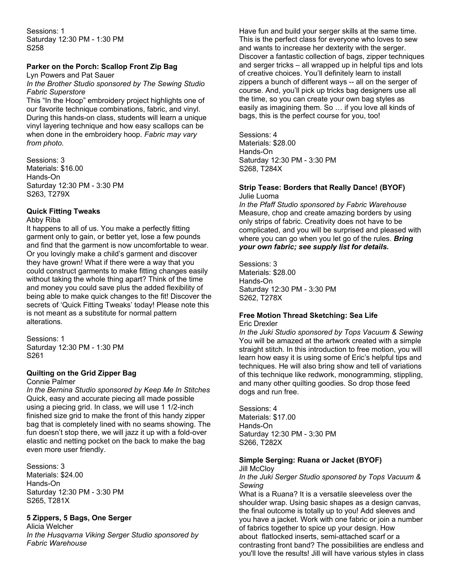Sessions: 1 Saturday 12:30 PM - 1:30 PM S258

## **Parker on the Porch: Scallop Front Zip Bag**

Lyn Powers and Pat Sauer *In the Brother Studio sponsored by The Sewing Studio Fabric Superstore*

This "In the Hoop" embroidery project highlights one of our favorite technique combinations, fabric, and vinyl. During this hands-on class, students will learn a unique vinyl layering technique and how easy scallops can be when done in the embroidery hoop. *Fabric may vary from photo.* 

Sessions: 3 Materials: \$16.00 Hands-On Saturday 12:30 PM - 3:30 PM S263, T279X

### **Quick Fitting Tweaks**

#### Abby Riba

It happens to all of us. You make a perfectly fitting garment only to gain, or better yet, lose a few pounds and find that the garment is now uncomfortable to wear. Or you lovingly make a child's garment and discover they have grown! What if there were a way that you could construct garments to make fitting changes easily without taking the whole thing apart? Think of the time and money you could save plus the added flexibility of being able to make quick changes to the fit! Discover the secrets of 'Quick Fitting Tweaks' today! Please note this is not meant as a substitute for normal pattern alterations.

Sessions: 1 Saturday 12:30 PM - 1:30 PM S261

#### **Quilting on the Grid Zipper Bag**

#### Connie Palmer

*In the Bernina Studio sponsored by Keep Me In Stitches* Quick, easy and accurate piecing all made possible using a piecing grid. In class, we will use 1 1/2-inch finished size grid to make the front of this handy zipper bag that is completely lined with no seams showing. The fun doesn't stop there, we will jazz it up with a fold-over elastic and netting pocket on the back to make the bag even more user friendly.

Sessions: 3 Materials: \$24.00 Hands-On Saturday 12:30 PM - 3:30 PM S265, T281X

### **5 Zippers, 5 Bags, One Serger**

Alicia Welcher *In the Husqvarna Viking Serger Studio sponsored by Fabric Warehouse*

Have fun and build your serger skills at the same time. This is the perfect class for everyone who loves to sew and wants to increase her dexterity with the serger. Discover a fantastic collection of bags, zipper techniques and serger tricks – all wrapped up in helpful tips and lots of creative choices. You'll definitely learn to install zippers a bunch of different ways -- all on the serger of course. And, you'll pick up tricks bag designers use all the time, so you can create your own bag styles as easily as imagining them. So … if you love all kinds of bags, this is the perfect course for you, too!

Sessions: 4 Materials: \$28.00 Hands-On Saturday 12:30 PM - 3:30 PM S268, T284X

#### **Strip Tease: Borders that Really Dance! (BYOF)** Julie Luoma

*In the Pfaff Studio sponsored by Fabric Warehouse* Measure, chop and create amazing borders by using only strips of fabric. Creativity does not have to be complicated, and you will be surprised and pleased with where you can go when you let go of the rules. *Bring your own fabric; see supply list for details.* 

Sessions: 3 Materials: \$28.00 Hands-On Saturday 12:30 PM - 3:30 PM S262, T278X

## **Free Motion Thread Sketching: Sea Life**

Eric Drexler

*In the Juki Studio sponsored by Tops Vacuum & Sewing* You will be amazed at the artwork created with a simple straight stitch. In this introduction to free motion, you will learn how easy it is using some of Eric's helpful tips and techniques. He will also bring show and tell of variations of this technique like redwork, monogramming, stippling, and many other quilting goodies. So drop those feed dogs and run free.

Sessions: 4 Materials: \$17.00 Hands-On Saturday 12:30 PM - 3:30 PM S266, T282X

### **Simple Serging: Ruana or Jacket (BYOF)**

**Jill McClov** 

#### *In the Juki Serger Studio sponsored by Tops Vacuum & Sewing*

What is a Ruana? It is a versatile sleeveless over the shoulder wrap. Using basic shapes as a design canvas, the final outcome is totally up to you! Add sleeves and you have a jacket. Work with one fabric or join a number of fabrics together to spice up your design. How about flatlocked inserts, semi-attached scarf or a contrasting front band? The possibilities are endless and you'll love the results! Jill will have various styles in class